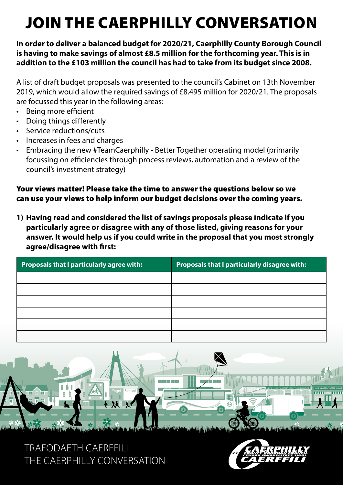# JOIN THE CAERPHILLY CONVERSATION

#### **In order to deliver a balanced budget for 2020/21, Caerphilly County Borough Council is having to make savings of almost £8.5 million for the forthcoming year. This is in addition to the £103 million the council has had to take from its budget since 2008.**

A list of draft budget proposals was presented to the council's Cabinet on 13th November 2019, which would allow the required savings of £8.495 million for 2020/21. The proposals are focussed this year in the following areas:

- Being more efficient
- Doing things differently
- Service reductions/cuts
- Increases in fees and charges
- Embracing the new #TeamCaerphilly Better Together operating model (primarily focussing on efficiencies through process reviews, automation and a review of the council's investment strategy)

#### Your views matter! Please take the time to answer the questions below so we can use your views to help inform our budget decisions over the coming years.

**1) Having read and considered the list of savings proposals please indicate if you particularly agree or disagree with any of those listed, giving reasons for your answer. It would help us if you could write in the proposal that you most strongly agree/disagree with first:** 

| <b>Proposals that I particularly agree with:</b> | Proposals that I particularly disagree with: |
|--------------------------------------------------|----------------------------------------------|
|                                                  |                                              |
|                                                  |                                              |
|                                                  |                                              |
|                                                  |                                              |
|                                                  |                                              |
|                                                  |                                              |



## TRAFODAETH CAERFFILI THE CAERPHILLY CONVERSATION

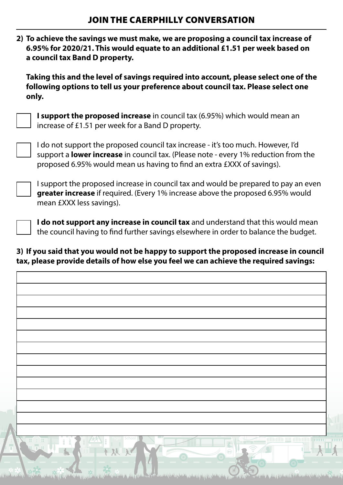| 2) To achieve the savings we must make, we are proposing a council tax increase of |
|------------------------------------------------------------------------------------|
| 6.95% for 2020/21. This would equate to an additional £1.51 per week based on      |
| a council tax Band D property.                                                     |

 **Taking this and the level of savings required into account, please select one of the following options to tell us your preference about council tax. Please select one only.** 

 **I support the proposed increase** in council tax (6.95%) which would mean an increase of £1.51 per week for a Band D property.

 I do not support the proposed council tax increase - it's too much. However, I'd support a **lower increase** in council tax. (Please note - every 1% reduction from the proposed 6.95% would mean us having to find an extra £XXX of savings).

 I support the proposed increase in council tax and would be prepared to pay an even **greater increase** if required. (Every 1% increase above the proposed 6.95% would mean £XXX less savings).

 **I do not support any increase in council tax** and understand that this would mean the council having to find further savings elsewhere in order to balance the budget.

#### **3) If you said that you would not be happy to support the proposed increase in council tax, please provide details of how else you feel we can achieve the required savings:**

| School<br><u>nar u ar</u> ar<br>⊞' ⊪ `⊞                                                                                                                                                                                                                                                                                                          | THML              |
|--------------------------------------------------------------------------------------------------------------------------------------------------------------------------------------------------------------------------------------------------------------------------------------------------------------------------------------------------|-------------------|
| H<br>ш<br>$\circledcirc$<br>C.                                                                                                                                                                                                                                                                                                                   | <b>STATISTICS</b> |
|                                                                                                                                                                                                                                                                                                                                                  |                   |
|                                                                                                                                                                                                                                                                                                                                                  |                   |
| $\frac{1}{\sqrt{2}}$<br>market by the the state of the state of the state of the state of the state of the state of the state of the state of the state of the state of the state of the state of the state of the state of the state of the state of<br>فكحصف فالأساخ بالمراجع المقارن وخواصر وكالمساحين تشتهته والملاقوعة<br>NUAZIA<br>WAS NO. |                   |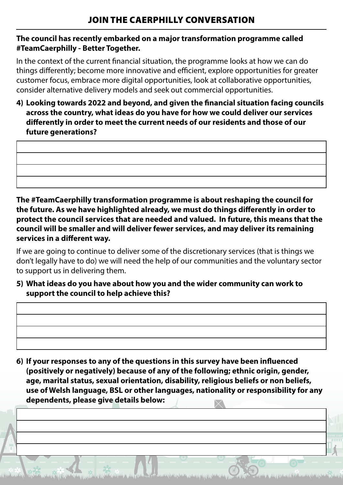#### **The council has recently embarked on a major transformation programme called #TeamCaerphilly - Better Together.**

In the context of the current financial situation, the programme looks at how we can do things differently; become more innovative and efficient, explore opportunities for greater customer focus, embrace more digital opportunities, look at collaborative opportunities, consider alternative delivery models and seek out commercial opportunities.

**4) Looking towards 2022 and beyond, and given the financial situation facing councils across the country, what ideas do you have for how we could deliver our services differently in order to meet the current needs of our residents and those of our future generations?** 

**The #TeamCaerphilly transformation programme is about reshaping the council for the future. As we have highlighted already, we must do things differently in order to protect the council services that are needed and valued. In future, this means that the council will be smaller and will deliver fewer services, and may deliver its remaining services in a different way.**

If we are going to continue to deliver some of the discretionary services (that is things we don't legally have to do) we will need the help of our communities and the voluntary sector to support us in delivering them.

**5) What ideas do you have about how you and the wider community can work to support the council to help achieve this?** 

| 6) If your responses to any of the questions in this survey have been influenced |                                                                                        |
|----------------------------------------------------------------------------------|----------------------------------------------------------------------------------------|
|                                                                                  | (positively or negatively) because of any of the following; ethnic origin, gender,     |
|                                                                                  | age, marital status, sexual orientation, disability, religious beliefs or non beliefs, |
|                                                                                  | use of Welsh language, BSL or other languages, nationality or responsibility for any   |
| dependents, please give details below:                                           |                                                                                        |